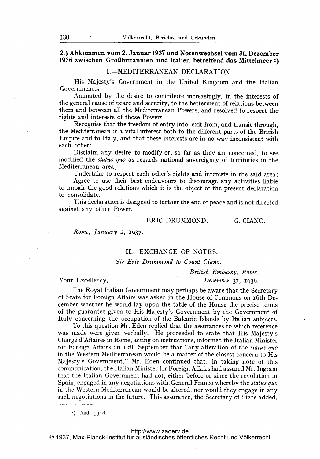# 2.) Abkommen vom 2. Januar <sup>1937</sup> und Notenwechsel vom 31. Dezember 1936 zwischen Großbritannien und Italien betreffend das Mittelmeer<sup>1</sup>)

### I.-MEDITERRANEAN DECLARATION.

His Majesty's Government in the United Kingdom and the Italian Government:%

Animated by the desire to contribute increasingly, in the interests of the general cause of peace and security, to the betterment of relations between them and between all the Mediterranean Powers, and resolved to respect the rights and interests of those Powers;

Recognise that the freedom of entry into, exit from, and transit through, the Mediterranean is a vital interest both to the different parts of the British Empire and to Italy, and that these interests are in no way inconsistent with each other;

Disclaim any desire to modify or, so far as they are concerned, to see modified the status quo as regards national sovereignty of territories in the Mediterranean area;

Undertake to respect each other's rights and interests in the said area;

Agree to use their best endeavours to discourage any activities liable to impair the good relations which it is the object of the present declaration to consolidate.

This declaration is designed to further the end of peace and is not directed against any other Power.

### ERIC DRUMMOND. G. CIANO.

Rome, January 2, 1937.

# II-EXCHANGE OF NOTES.

### Sir Eric Drummond to Count Ciano.

British Embassy, Rome, Your Excellency,  $December\ 31, 1936.$ 

The Royal Italian Government may perhaps be aware that the Secretary of State for Foreign Affairs was asked in the House of Commons on 16th December whether he would lay upon the table of the House the precise terms of the guarantee given to His Majesty's Government by the Government of Italy concerning the occupation of the Balearic Islands by Italian subjects. To this question Mr. Eden replied that the assurances to which reference

was made were given verbally. He proceeded to state that His Majesty's Charg6 d'Affaires in Rome, acting on instructions, informed the Italian Minister for Foreign Affairs on 12th September that "any alteration of the *status quo* in the Western Mediterranean would be a matter of the closest concern to His Majesty's Government." Mr. Eden continued that, in taking note of this communication, the Italian Minister for Foreign Affairs had assured Mr. Ingram that the Italian Government had not, either before or since the revolution in Spain, engaged in any negotiations with General Franco whereby the *status quo* in the Western Mediterranean would be altered, nor would they engage in any such negotiations in the future. This assurance, the Secretary of State added,

 $\sim 10$  m  $^{-1}$ 1) Cmd. 5348.

الأستناء